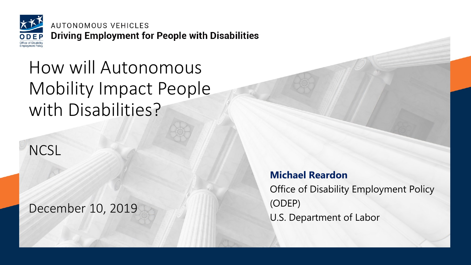AUTONOMOUS VEHICLES **Driving Employment for People with Disabilities** 

### How will Autonomous Mobility Impact People with Disabilities?

**NCSL** 

December 10, 2019

**Michael Reardon** Office of Disability Employment Policy (ODEP) U.S. Department of Labor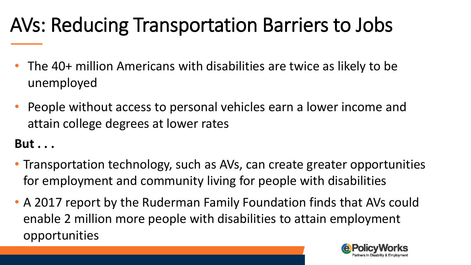# AVs: Reducing Transportation Barriers to Jobs

- The 40+ million Americans with disabilities are twice as likely to be unemployed
- People without access to personal vehicles earn a lower income and attain college degrees at lower rates

#### **But . . .**

- Transportation technology, such as AVs, can create greater opportunities for employment and community living for people with disabilities
- A 2017 report by the Ruderman Family Foundation finds that AVs could enable 2 million more people with disabilities to attain employment opportunities

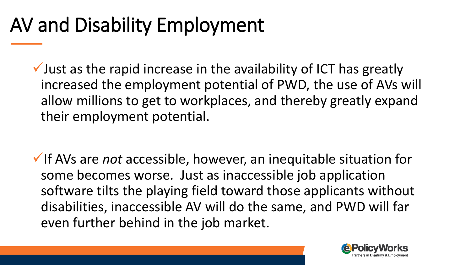## AV and Disability Employment

 $\checkmark$  Just as the rapid increase in the availability of ICT has greatly increased the employment potential of PWD, the use of AVs will allow millions to get to workplaces, and thereby greatly expand their employment potential.

✓If AVs are *not* accessible, however, an inequitable situation for some becomes worse. Just as inaccessible job application software tilts the playing field toward those applicants without disabilities, inaccessible AV will do the same, and PWD will far even further behind in the job market.